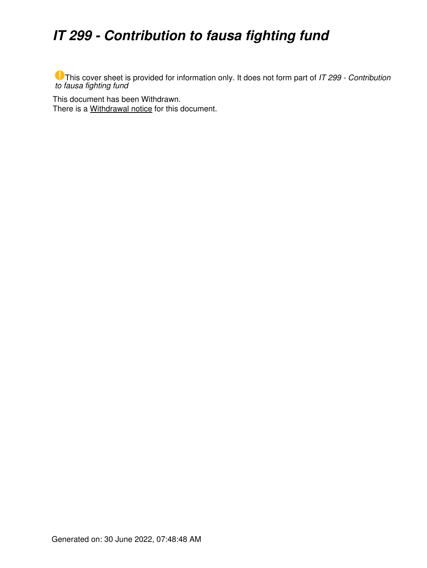## *IT 299 - Contribution to fausa fighting fund*

This cover sheet is provided for information only. It does not form part of *IT 299 - Contribution to fausa fighting fund*

This document has been Withdrawn. There is a [Withdrawal notice](https://www.ato.gov.au/law/view/document?LocID=%22ITR%2FIT299W%2FNAT%2FATO%2F00001%22&PiT=20170522000001) for this document.